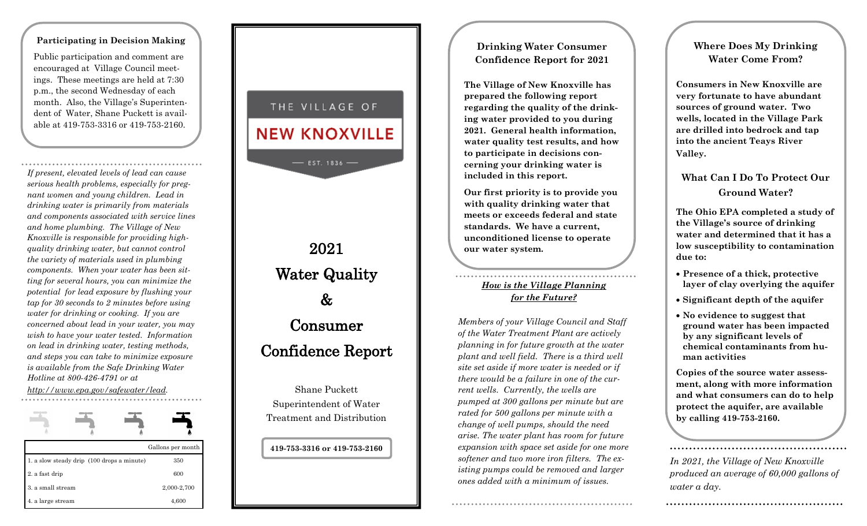#### **Participating in Decision Making**

Public participation and comment are encouraged at Village Council meetings. These meetings are held at 7:30 p.m., the second Wednesday of each month. Also, the Village's Superintendent of Water, Shane Puckett is available at 419-753-3316 or 419-753-2160.

*If present, elevated levels of lead can cause serious health problems, especially for pregnant women and young children. Lead in drinking water is primarily from materials and components associated with service lines and home plumbing. The Village of New Knoxville is responsible for providing high quality drinking water, but cannot control the variety of materials used in plumbing components. When your water has been sitting for several hours, you can minimize the potential for lead exposure by flushing your tap for 30 seconds to 2 minutes before using water for drinking or cooking. If you are concerned about lead in your water, you may wish to have your water tested. Information on lead in drinking water, testing methods, and steps you can take to minimize exposure is available from the Safe Drinking Water Hotline at 800 -426 -4791 or at* 

*http://www.epa.gov/safewater/lead .* 

|                                            | Gallons per month |
|--------------------------------------------|-------------------|
| 1. a slow steady drip (100 drops a minute) | 350               |
| 2. a fast drip                             | 600               |
| 3. a small stream                          | 2,000-2,700       |
| 4. a large stream                          | 4,600             |

## THE VILLAGE OF

# **NEW KNOXVILLE**

 $-$  EST. 1836  $-$ 

2021 Water Quality & Consumer Confidence Report

Shane Puckett Superintendent of Water Treatment and Distribution

#### **419 -753 -3316 or 419 -753 -2160**

### **Drinking Water Consumer Confidence Report for 2021**

**The Village of New Knoxville has prepared the following report regarding the quality of the drinking water provided to you during 2021. General health information, water quality test results, and how to participate in decisions concerning your drinking water is included in this report.**

**Our first priority is to provide you with quality drinking water that meets or exceeds federal and state standards. We have a current, unconditioned license to operate our water system.** 

### *How is the Village Planning for the Future?*

*Members of your Village Council and Staff of the Water Treatment Plant are actively planning in for future growth at the water plant and well field. There is a third well site set aside if more water is needed or if there would be a failure in one of the current wells. Currently, the wells are pumped at 300 gallons per minute but are rated for 500 gallons per minute with a change of well pumps, should the need arise. The water plant has room for future expansion with space set aside for one more softener and two more iron filters. The existing pumps could be removed and larger ones added with a minimum of issues.*

### **Where Does My Drinking Water Come From?**

**Consumers in New Knoxville are very fortunate to have abundant sources of ground water. Two wells, located in the Village Park are drilled into bedrock and tap into the ancient Teays River Valley.**

### **What Can I Do To Protect Our Ground Water?**

**The Ohio EPA completed a study of the Village's source of drinking water and determined that it has a low susceptibility to contamination due to:**

- **Presence of a thick, protective layer of clay overlying the aquifer**
- **Significant depth of the aquifer**
- **No evidence to suggest that ground water has been impacted by any significant levels of chemical contaminants from human activities**

**Copies of the source water assessment, along with more information and what consumers can do to help protect the aquifer, are available by calling 419 -753 -2160.** 

*In 2021, the Village of New Knoxville produced an average of 60,000 gallons of water a day.*